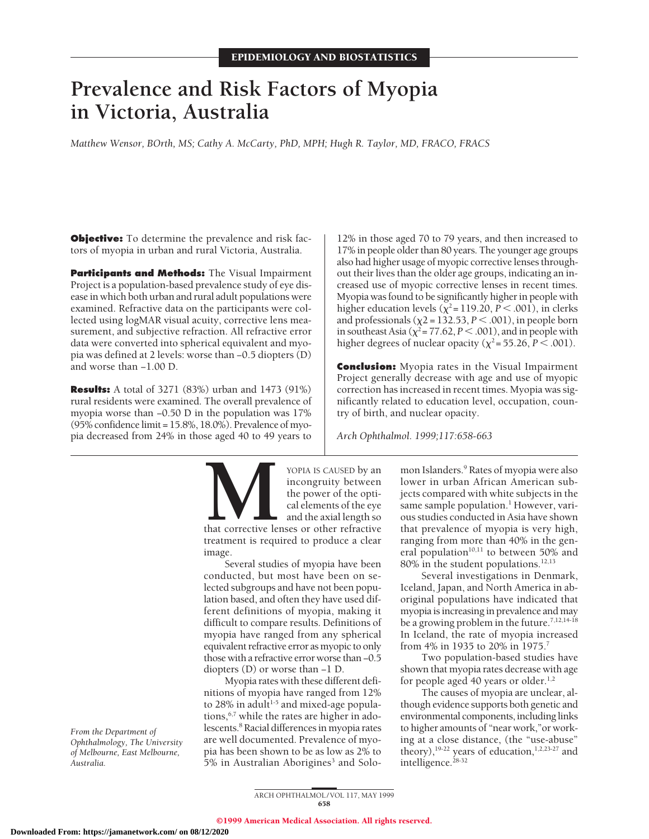# **Prevalence and Risk Factors of Myopia in Victoria, Australia**

*Matthew Wensor, BOrth, MS; Cathy A. McCarty, PhD, MPH; Hugh R. Taylor, MD, FRACO, FRACS*

**Objective:** To determine the prevalence and risk factors of myopia in urban and rural Victoria, Australia.

**Participants and Methods:** The Visual Impairment Project is a population-based prevalence study of eye disease in which both urban and rural adult populations were examined. Refractive data on the participants were collected using logMAR visual acuity, corrective lens measurement, and subjective refraction. All refractive error data were converted into spherical equivalent and myopia was defined at 2 levels: worse than −0.5 diopters (D) and worse than −1.00 D.

**Results:** A total of 3271 (83%) urban and 1473 (91%) rural residents were examined. The overall prevalence of myopia worse than −0.50 D in the population was 17% (95% confidence limit = 15.8%, 18.0%). Prevalence of myopia decreased from 24% in those aged 40 to 49 years to

12% in those aged 70 to 79 years, and then increased to 17% in people older than 80 years. The younger age groups also had higher usage of myopic corrective lenses throughout their lives than the older age groups, indicating an increased use of myopic corrective lenses in recent times. Myopia was found to be significantly higher in people with higher education levels ( $\chi^2$ = 119.20, *P* < .001), in clerks and professionals ( $\chi$ 2 = 132.53, *P* < .001), in people born in southeast Asia ( $\chi^2$  = 77.62, *P* < .001), and in people with higher degrees of nuclear opacity ( $\chi^2$  = 55.26, *P* < .001).

**Conclusion:** Myopia rates in the Visual Impairment Project generally decrease with age and use of myopic correction has increased in recent times. Myopia was significantly related to education level, occupation, country of birth, and nuclear opacity.

*Arch Ophthalmol. 1999;117:658-663*

**MOPIA IS CAUSED by an incongruity between**<br>the power of the optical elements of the eye<br>and the axial length so<br>that corrective lenses or other refractive<br>treatment is required to produce a clear incongruity between the power of the optical elements of the eye and the axial length so

that corrective lenses or other refractive treatment is required to produce a clear image.

Several studies of myopia have been conducted, but most have been on selected subgroups and have not been population based, and often they have used different definitions of myopia, making it difficult to compare results. Definitions of myopia have ranged from any spherical equivalent refractive error as myopic to only those with a refractive error worse than −0.5 diopters (D) or worse than −1 D.

Myopia rates with these different definitions of myopia have ranged from 12% to  $28\%$  in adult<sup>1-5</sup> and mixed-age populations,<sup>6,7</sup> while the rates are higher in adolescents.8 Racial differences in myopia rates are well documented. Prevalence of myopia has been shown to be as low as 2% to 5% in Australian Aborigines<sup>3</sup> and Solomon Islanders.<sup>9</sup> Rates of myopia were also lower in urban African American subjects compared with white subjects in the same sample population.<sup>1</sup> However, various studies conducted in Asia have shown that prevalence of myopia is very high, ranging from more than 40% in the general population $10,11$  to between 50% and 80% in the student populations.<sup>12,13</sup>

Several investigations in Denmark, Iceland, Japan, and North America in aboriginal populations have indicated that myopia is increasing in prevalence and may be a growing problem in the future.<sup>7,12,14-18</sup> In Iceland, the rate of myopia increased from 4% in 1935 to 20% in 1975.<sup>7</sup>

Two population-based studies have shown that myopia rates decrease with age for people aged 40 years or older. $1,2$ 

The causes of myopia are unclear, although evidence supports both genetic and environmental components, including links to higher amounts of "near work,"or working at a close distance, (the "use-abuse" theory),<sup>19-22</sup> years of education,<sup>1,2,23-27</sup> and intelligence.<sup>28-32</sup>

*From the Department of Ophthalmology, The University of Melbourne, East Melbourne, Australia.*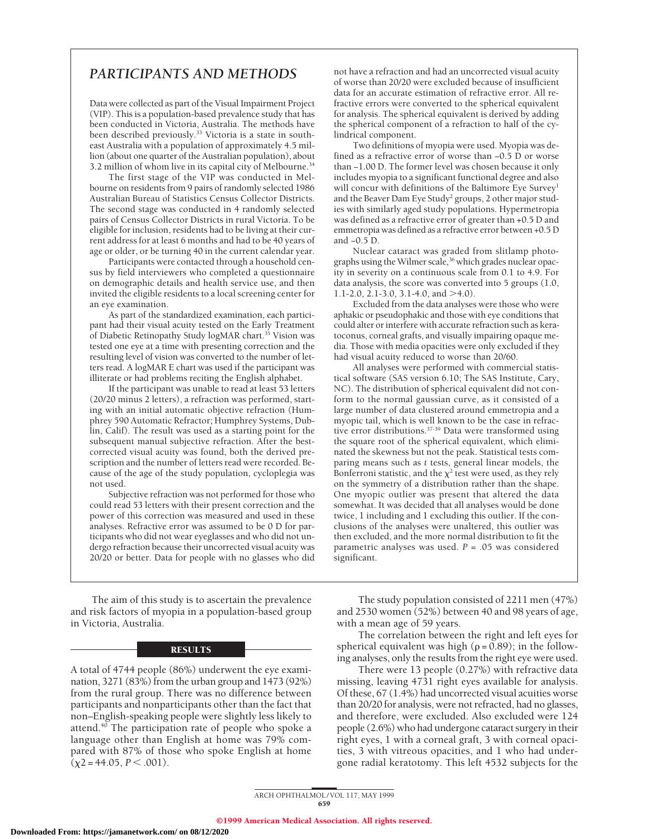# *PARTICIPANTS AND METHODS*

Data were collected as part of the Visual Impairment Project (VIP). This is a population-based prevalence study that has been conducted in Victoria, Australia. The methods have been described previously.33 Victoria is a state in southeast Australia with a population of approximately 4.5 million (about one quarter of the Australian population), about 3.2 million of whom live in its capital city of Melbourne.34

The first stage of the VIP was conducted in Melbourne on residents from 9 pairs of randomly selected 1986 Australian Bureau of Statistics Census Collector Districts. The second stage was conducted in 4 randomly selected pairs of Census Collector Districts in rural Victoria. To be eligible for inclusion, residents had to be living at their current address for at least 6 months and had to be 40 years of age or older, or be turning 40 in the current calendar year.

Participants were contacted through a household census by field interviewers who completed a questionnaire on demographic details and health service use, and then invited the eligible residents to a local screening center for an eye examination.

As part of the standardized examination, each participant had their visual acuity tested on the Early Treatment of Diabetic Retinopathy Study logMAR chart.<sup>35</sup> Vision was tested one eye at a time with presenting correction and the resulting level of vision was converted to the number of letters read. A logMAR E chart was used if the participant was illiterate or had problems reciting the English alphabet.

If the participant was unable to read at least 53 letters (20/20 minus 2 letters), a refraction was performed, starting with an initial automatic objective refraction (Humphrey 590 Automatic Refractor; Humphrey Systems, Dublin, Calif). The result was used as a starting point for the subsequent manual subjective refraction. After the bestcorrected visual acuity was found, both the derived prescription and the number of letters read were recorded. Because of the age of the study population, cycloplegia was not used.

Subjective refraction was not performed for those who could read 53 letters with their present correction and the power of this correction was measured and used in these analyses. Refractive error was assumed to be 0 D for participants who did not wear eyeglasses and who did not undergo refraction because their uncorrected visual acuity was 20/20 or better. Data for people with no glasses who did

The aim of this study is to ascertain the prevalence and risk factors of myopia in a population-based group in Victoria, Australia.

## **RESULTS**

A total of 4744 people (86%) underwent the eye examination, 3271 (83%) from the urban group and 1473 (92%) from the rural group. There was no difference between participants and nonparticipants other than the fact that non–English-speaking people were slightly less likely to attend. $40$  The participation rate of people who spoke a language other than English at home was 79% compared with 87% of those who spoke English at home  $(\chi^2 = 44.05, P \leq .001)$ .

not have a refraction and had an uncorrected visual acuity of worse than 20/20 were excluded because of insufficient data for an accurate estimation of refractive error. All refractive errors were converted to the spherical equivalent for analysis. The spherical equivalent is derived by adding the spherical component of a refraction to half of the cylindrical component.

Two definitions of myopia were used. Myopia was defined as a refractive error of worse than −0.5 D or worse than −1.00 D. The former level was chosen because it only includes myopia to a significant functional degree and also will concur with definitions of the Baltimore Eye Survey<sup>1</sup> and the Beaver Dam Eye Study<sup>2</sup> groups, 2 other major studies with similarly aged study populations. Hypermetropia was defined as a refractive error of greater than +0.5 D and emmetropia was defined as a refractive error between +0.5 D and −0.5 D.

Nuclear cataract was graded from slitlamp photographs using the Wilmer scale,<sup>36</sup> which grades nuclear opacity in severity on a continuous scale from 0.1 to 4.9. For data analysis, the score was converted into 5 groups (1.0, 1.1-2.0, 2.1-3.0, 3.1-4.0, and  $>4.0$ ).

Excluded from the data analyses were those who were aphakic or pseudophakic and those with eye conditions that could alter or interfere with accurate refraction such as keratoconus, corneal grafts, and visually impairing opaque media. Those with media opacities were only excluded if they had visual acuity reduced to worse than 20/60.

All analyses were performed with commercial statistical software (SAS version 6.10; The SAS Institute, Cary, NC). The distribution of spherical equivalent did not conform to the normal gaussian curve, as it consisted of a large number of data clustered around emmetropia and a myopic tail, which is well known to be the case in refractive error distributions.<sup>37-39</sup> Data were transformed using the square root of the spherical equivalent, which eliminated the skewness but not the peak. Statistical tests comparing means such as *t* tests, general linear models, the Bonferroni statistic, and the  $\chi^2$  test were used, as they rely on the symmetry of a distribution rather than the shape. One myopic outlier was present that altered the data somewhat. It was decided that all analyses would be done twice, 1 including and 1 excluding this outlier. If the conclusions of the analyses were unaltered, this outlier was then excluded, and the more normal distribution to fit the parametric analyses was used. *P* = .05 was considered significant.

The study population consisted of 2211 men (47%) and 2530 women (52%) between 40 and 98 years of age, with a mean age of 59 years.

The correlation between the right and left eyes for spherical equivalent was high ( $\rho = 0.89$ ); in the following analyses, only the results from the right eye were used.

There were 13 people (0.27%) with refractive data missing, leaving 4731 right eyes available for analysis. Of these, 67 (1.4%) had uncorrected visual acuities worse than 20/20 for analysis, were not refracted, had no glasses, and therefore, were excluded. Also excluded were 124 people (2.6%) who had undergone cataract surgery in their right eyes, 1 with a corneal graft, 3 with corneal opacities, 3 with vitreous opacities, and 1 who had undergone radial keratotomy. This left 4532 subjects for the

ARCH OPHTHALMOL / VOL 117, MAY 1999 659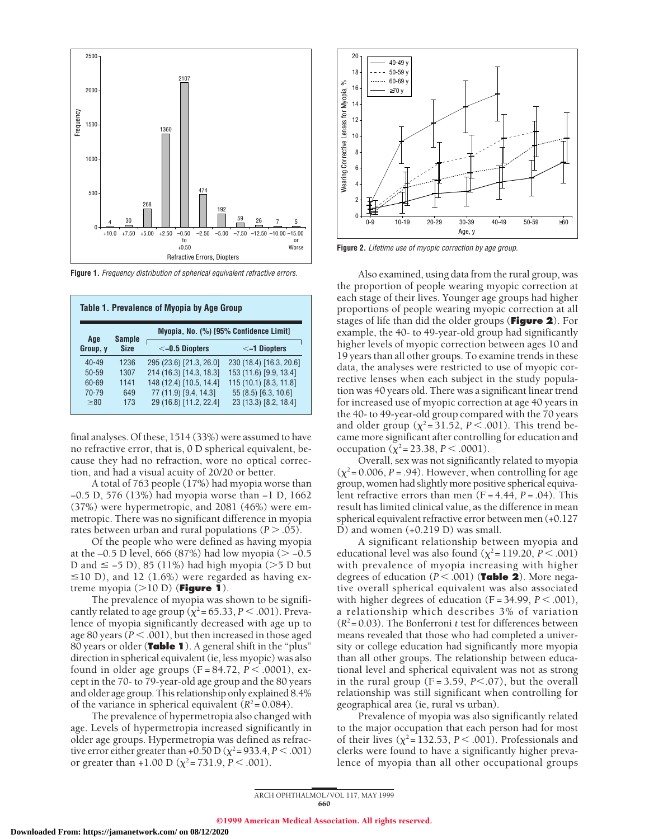

**Figure 1.** Frequency distribution of spherical equivalent refractive errors.

| Table 1. Prevalence of Myopia by Age Group |               |                                        |                         |  |
|--------------------------------------------|---------------|----------------------------------------|-------------------------|--|
| Age                                        | <b>Sample</b> | Myopia, No. (%) [95% Confidence Limit] |                         |  |
| Group, y                                   | <b>Size</b>   | $<$ -0.5 Diopters                      | $\leq$ -1 Diopters      |  |
| $40 - 49$                                  | 1236          | 295 (23.6) [21.3, 26.0]                | 230 (18.4) [16.3, 20.6] |  |
| $50 - 59$                                  | 1307          | 214 (16.3) [14.3, 18.3]                | 153 (11.6) [9.9, 13.4]  |  |
| 60-69                                      | 1141          | 148 (12.4) [10.5, 14.4]                | 115 (10.1) [8.3, 11.8]  |  |
| 70-79                                      | 649           | 77 (11.9) [9.4, 14.3]                  | 55 (8.5) [6.3, 10.6]    |  |
| $\geq 80$                                  | 173           | 29 (16.8) [11.2, 22.4]                 | 23 (13.3) [8.2, 18.4]   |  |

final analyses. Of these, 1514 (33%) were assumed to have no refractive error, that is, 0 D spherical equivalent, because they had no refraction, wore no optical correction, and had a visual acuity of 20/20 or better.

A total of 763 people (17%) had myopia worse than −0.5 D, 576 (13%) had myopia worse than −1 D, 1662 (37%) were hypermetropic, and 2081 (46%) were emmetropic. There was no significant difference in myopia rates between urban and rural populations  $(P > .05)$ .

Of the people who were defined as having myopia at the –0.5 D level, 666 (87%) had low myopia ( $>$  –0.5 D and  $\le$  -5 D), 85 (11%) had high myopia (>5 D but  $\leq$ 10 D), and 12 (1.6%) were regarded as having extreme myopia  $(>10 \text{ D})$  (**Figure 1**).

The prevalence of myopia was shown to be significantly related to age group ( $\chi^2$  = 65.33, *P* < .001). Prevalence of myopia significantly decreased with age up to age 80 years ( $P < .001$ ), but then increased in those aged 80 years or older (**Table 1**). A general shift in the "plus" direction in spherical equivalent (ie, less myopic) was also found in older age groups (F = 84.72,  $P < .0001$ ), except in the 70- to 79-year-old age group and the 80 years and older age group. This relationship only explained 8.4% of the variance in spherical equivalent  $(R^2 = 0.084)$ .

The prevalence of hypermetropia also changed with age. Levels of hypermetropia increased significantly in older age groups. Hypermetropia was defined as refractive error either greater than +0.50 D ( $\chi^2$  = 933.4, *P* < .001) or greater than +1.00 D ( $\chi^2$  = 731.9, *P* < .001).



Figure 2. Lifetime use of myopic correction by age group.

Also examined, using data from the rural group, was the proportion of people wearing myopic correction at each stage of their lives. Younger age groups had higher proportions of people wearing myopic correction at all stages of life than did the older groups (**Figure 2**). For example, the 40- to 49-year-old group had significantly higher levels of myopic correction between ages 10 and 19 years than all other groups. To examine trends in these data, the analyses were restricted to use of myopic corrective lenses when each subject in the study population was 40 years old. There was a significant linear trend for increased use of myopic correction at age 40 years in the 40- to 49-year-old group compared with the 70 years and older group ( $\chi^2$ =31.52, *P* < .001). This trend became more significant after controlling for education and occupation ( $\chi^2$  = 23.38, *P* < .0001).

Overall, sex was not significantly related to myopia  $(\chi^2 = 0.006, P = .94)$ . However, when controlling for age group, women had slightly more positive spherical equivalent refractive errors than men (F = 4.44, *P* = .04). This result has limited clinical value, as the difference in mean spherical equivalent refractive error between men (+0.127 D) and women (+0.219 D) was small.

A significant relationship between myopia and educational level was also found ( $\chi^2$ = 119.20, *P* < .001) with prevalence of myopia increasing with higher degrees of education  $(P < .001)$  (**Table 2**). More negative overall spherical equivalent was also associated with higher degrees of education  $(F = 34.99, P < .001)$ , a relationship which describes 3% of variation  $(R<sup>2</sup>=0.03)$ . The Bonferroni *t* test for differences between means revealed that those who had completed a university or college education had significantly more myopia than all other groups. The relationship between educational level and spherical equivalent was not as strong in the rural group  $(F = 3.59, P < .07)$ , but the overall relationship was still significant when controlling for geographical area (ie, rural vs urban).

Prevalence of myopia was also significantly related to the major occupation that each person had for most of their lives ( $\chi^2$ = 132.53, *P* < .001). Professionals and clerks were found to have a significantly higher prevalence of myopia than all other occupational groups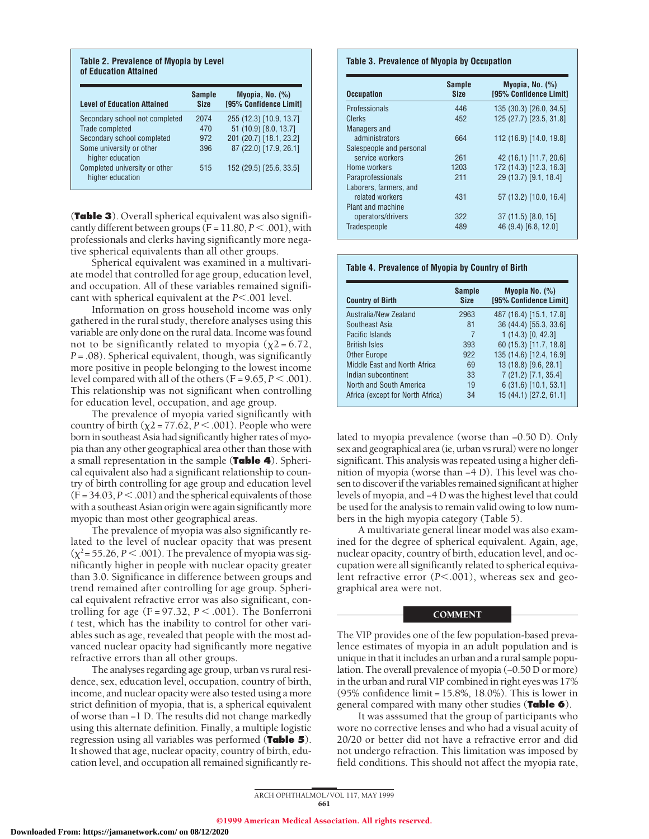| <b>Level of Education Attained</b>                | <b>Sample</b><br><b>Size</b> | Myopia, No. $(\%)$<br>[95% Confidence Limit] |
|---------------------------------------------------|------------------------------|----------------------------------------------|
| Secondary school not completed                    | 2074                         | 255 (12.3) [10.9, 13.7]                      |
| Trade completed                                   | 470                          | 51 (10.9) [8.0, 13.7]                        |
| Secondary school completed                        | 972                          | 201 (20.7) [18.1, 23.2]                      |
| Some university or other<br>higher education      | 396                          | 87 (22.0) [17.9, 26.1]                       |
| Completed university or other<br>higher education | 515                          | 152 (29.5) [25.6, 33.5]                      |

**Table 2. Prevalence of Myopia by Level**

(**Table 3**). Overall spherical equivalent was also significantly different between groups  $(F = 11.80, P < .001)$ , with professionals and clerks having significantly more negative spherical equivalents than all other groups.

Spherical equivalent was examined in a multivariate model that controlled for age group, education level, and occupation. All of these variables remained significant with spherical equivalent at the  $P<.001$  level.

Information on gross household income was only gathered in the rural study, therefore analyses using this variable are only done on the rural data. Income was found not to be significantly related to myopia  $(\chi^2 = 6.72)$ , *P* = .08). Spherical equivalent, though, was significantly more positive in people belonging to the lowest income level compared with all of the others  $(F = 9.65, P < .001)$ . This relationship was not significant when controlling for education level, occupation, and age group.

The prevalence of myopia varied significantly with country of birth  $(\chi^2 = 77.62, P < .001)$ . People who were born in southeast Asia had significantly higher rates of myopia than any other geographical area other than those with a small representation in the sample (**Table 4**). Spherical equivalent also had a significant relationship to country of birth controlling for age group and education level  $(F = 34.03, P < .001)$  and the spherical equivalents of those with a southeast Asian origin were again significantly more myopic than most other geographical areas.

The prevalence of myopia was also significantly related to the level of nuclear opacity that was present  $(\chi^2 = 55.26, P < .001)$ . The prevalence of myopia was significantly higher in people with nuclear opacity greater than 3.0. Significance in difference between groups and trend remained after controlling for age group. Spherical equivalent refractive error was also significant, controlling for age  $(F = 97.32, P < .001)$ . The Bonferroni *t* test, which has the inability to control for other variables such as age, revealed that people with the most advanced nuclear opacity had significantly more negative refractive errors than all other groups.

The analyses regarding age group, urban vs rural residence, sex, education level, occupation, country of birth, income, and nuclear opacity were also tested using a more strict definition of myopia, that is, a spherical equivalent of worse than −1 D. The results did not change markedly using this alternate definition. Finally, a multiple logistic regression using all variables was performed (**Table 5**). It showed that age, nuclear opacity, country of birth, education level, and occupation all remained significantly re-

#### **Table 3. Prevalence of Myopia by Occupation**

| <b>Occupation</b>        | <b>Sample</b><br><b>Size</b> | Myopia, No. $(\%)$<br>[95% Confidence Limit] |
|--------------------------|------------------------------|----------------------------------------------|
| Professionals            | 446                          | 135 (30.3) [26.0, 34.5]                      |
| Clerks                   | 452                          | 125 (27.7) [23.5, 31.8]                      |
| <b>Managers and</b>      |                              |                                              |
| administrators           | 664                          | 112 (16.9) [14.0, 19.8]                      |
| Salespeople and personal |                              |                                              |
| service workers          | 261                          | 42 (16.1) [11.7, 20.6]                       |
| Home workers             | 1203                         | 172 (14.3) [12.3, 16.3]                      |
| Paraprofessionals        | 211                          | 29 (13.7) [9.1, 18.4]                        |
| Laborers, farmers, and   |                              |                                              |
| related workers          | 431                          | 57 (13.2) [10.0, 16.4]                       |
| Plant and machine        |                              |                                              |
| operators/drivers        | 322                          | $37(11.5)$ [8.0, 15]                         |
| Tradespeople             | 489                          | 46 (9.4) [6.8, 12.0]                         |

#### **Table 4. Prevalence of Myopia by Country of Birth**

| <b>Country of Birth</b>          | <b>Sample</b><br><b>Size</b> | Myopia No. $(\%)$<br><b>195% Confidence Limit1</b> |
|----------------------------------|------------------------------|----------------------------------------------------|
| Australia/New Zealand            | 2963                         | 487 (16.4) [15.1, 17.8]                            |
| Southeast Asia                   | 81                           | 36 (44.4) [55.3, 33.6]                             |
| Pacific Islands                  | 7                            | $1(14.3)$ [0, 42.3]                                |
| <b>British Isles</b>             | 393                          | 60 (15.3) [11.7, 18.8]                             |
| <b>Other Europe</b>              | 922                          | 135 (14.6) [12.4, 16.9]                            |
| Middle East and North Africa     | 69                           | 13 (18.8) [9.6, 28.1]                              |
| Indian subcontinent              | 33                           | 7 (21.2) [7.1, 35.4]                               |
| North and South America          | 19                           | $6(31.6)$ [10.1, 53.1]                             |
| Africa (except for North Africa) | 34                           | 15 (44.1) [27.2, 61.1]                             |

lated to myopia prevalence (worse than −0.50 D). Only sex and geographical area (ie, urban vs rural) were no longer significant. This analysis was repeated using a higher definition of myopia (worse than −4 D). This level was chosen to discover if the variables remained significant at higher levels of myopia, and −4 D was the highest level that could be used for the analysis to remain valid owing to low numbers in the high myopia category (Table 5).

A multivariate general linear model was also examined for the degree of spherical equivalent. Again, age, nuclear opacity, country of birth, education level, and occupation were all significantly related to spherical equivalent refractive error ( $P$ <.001), whereas sex and geographical area were not.

#### COMMENT

The VIP provides one of the few population-based prevalence estimates of myopia in an adult population and is unique in that it includes an urban and a rural sample population. The overall prevalence of myopia (−0.50 D or more) in the urban and rural VIP combined in right eyes was 17% (95% confidence limit = 15.8%, 18.0%). This is lower in general compared with many other studies (**Table 6**).

It was asssumed that the group of participants who wore no corrective lenses and who had a visual acuity of 20/20 or better did not have a refractive error and did not undergo refraction. This limitation was imposed by field conditions. This should not affect the myopia rate,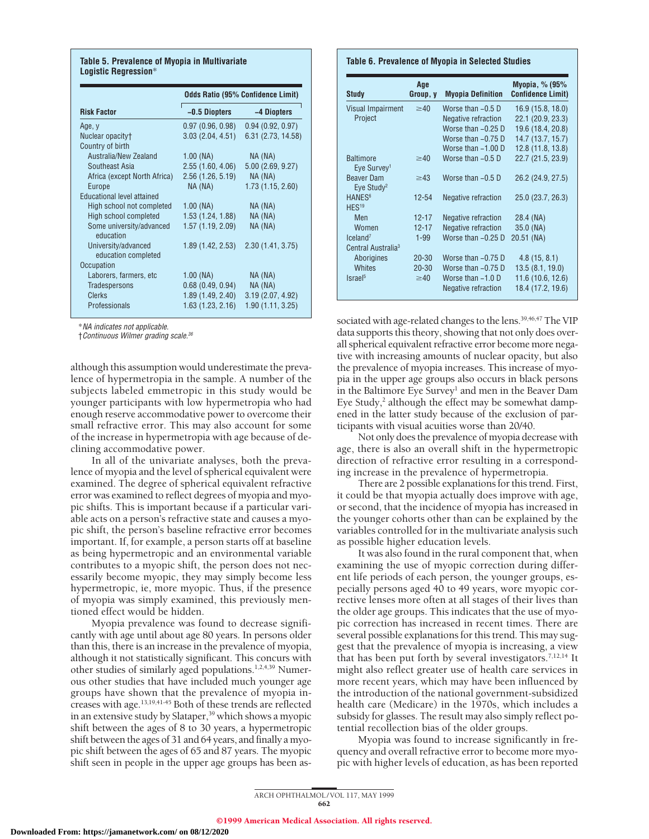#### **Table 5. Prevalence of Myopia in Multivariate Logistic Regression**\*

|                                            | <b>Odds Ratio (95% Confidence Limit)</b> |                    |  |
|--------------------------------------------|------------------------------------------|--------------------|--|
| <b>Risk Factor</b>                         | -0.5 Diopters                            | -4 Diopters        |  |
| Age, y                                     | 0.97(0.96, 0.98)                         | 0.94(0.92, 0.97)   |  |
| Nuclear opacity <sup>+</sup>               | 3.03(2.04, 4.51)                         | 6.31 (2.73, 14.58) |  |
| Country of birth                           |                                          |                    |  |
| Australia/New Zealand                      | $1.00$ (NA)                              | NA (NA)            |  |
| Southeast Asia                             | 2.55(1.60, 4.06)                         | 5.00(2.69, 9.27)   |  |
| Africa (except North Africa)               | 2.56 (1.26, 5.19)                        | NA (NA)            |  |
| Europe                                     | NA (NA)                                  | 1.73(1.15, 2.60)   |  |
| <b>Educational level attained</b>          |                                          |                    |  |
| High school not completed                  | $1.00$ (NA)                              | $NA$ ( $NA$ )      |  |
| High school completed                      | 1.53(1.24, 1.88)                         | NA (NA)            |  |
| Some university/advanced<br>education      | 1.57 (1.19, 2.09)                        | NA (NA)            |  |
| University/advanced<br>education completed | 1.89 (1.42, 2.53)                        | 2.30(1.41, 3.75)   |  |
| Occupation                                 |                                          |                    |  |
| Laborers, farmers, etc                     | $1.00$ (NA)                              | NA (NA)            |  |
| <b>Tradespersons</b>                       | 0.68(0.49, 0.94)                         | $NA$ ( $NA$ )      |  |
| <b>Clerks</b>                              | 1.89(1.49, 2.40)                         | 3.19(2.07, 4.92)   |  |
| Professionals                              | 1.63(1.23, 2.16)                         | 1.90(1.11, 3.25)   |  |

\*NA indicates not applicable.

†Continuous Wilmer grading scale.<sup>36</sup>

although this assumption would underestimate the prevalence of hypermetropia in the sample. A number of the subjects labeled emmetropic in this study would be younger participants with low hypermetropia who had enough reserve accommodative power to overcome their small refractive error. This may also account for some of the increase in hypermetropia with age because of declining accommodative power.

In all of the univariate analyses, both the prevalence of myopia and the level of spherical equivalent were examined. The degree of spherical equivalent refractive error was examined to reflect degrees of myopia and myopic shifts. This is important because if a particular variable acts on a person's refractive state and causes a myopic shift, the person's baseline refractive error becomes important. If, for example, a person starts off at baseline as being hypermetropic and an environmental variable contributes to a myopic shift, the person does not necessarily become myopic, they may simply become less hypermetropic, ie, more myopic. Thus, if the presence of myopia was simply examined, this previously mentioned effect would be hidden.

Myopia prevalence was found to decrease significantly with age until about age 80 years. In persons older than this, there is an increase in the prevalence of myopia, although it not statistically significant. This concurs with other studies of similarly aged populations.<sup>1,2,4,39</sup> Numerous other studies that have included much younger age groups have shown that the prevalence of myopia increases with age.13,19,41-45 Both of these trends are reflected in an extensive study by Slataper,<sup>39</sup> which shows a myopic shift between the ages of 8 to 30 years, a hypermetropic shift between the ages of 31 and 64 years, and finally a myopic shift between the ages of 65 and 87 years. The myopic shift seen in people in the upper age groups has been as-

#### **Table 6. Prevalence of Myopia in Selected Studies**

| <b>Study</b>                                | Age<br>Group, y | <b>Myopia Definition</b>   | Myopia, % (95%<br><b>Confidence Limit)</b> |
|---------------------------------------------|-----------------|----------------------------|--------------------------------------------|
| <b>Visual Impairment</b>                    | $\geq 40$       | Worse than $-0.5$ D        | 16.9(15.8, 18.0)                           |
| Project                                     |                 | Negative refraction        | 22.1 (20.9, 23.3)                          |
|                                             |                 | Worse than $-0.25$ D       | 19.6 (18.4, 20.8)                          |
|                                             |                 | Worse than $-0.75$ D       | 14.7 (13.7, 15.7)                          |
|                                             |                 | Worse than $-1.00$ D       | 12.8 (11.8, 13.8)                          |
| <b>Baltimore</b><br>Eye Survey <sup>1</sup> | $\geq 40$       | Worse than $-0.5$ D        | 22.7 (21.5, 23.9)                          |
| Beaver Dam<br>Eye Study <sup>2</sup>        | $\geq$ 43       | Worse than $-0.5$ D        | 26.2 (24.9, 27.5)                          |
| HANES <sup>6</sup><br>HES <sup>19</sup>     | $12 - 54$       | Negative refraction        | 25.0(23.7, 26.3)                           |
| Men                                         | $12 - 17$       | <b>Negative refraction</b> | 28.4 (NA)                                  |
| Women                                       | $12 - 17$       | Negative refraction        | 35.0 (NA)                                  |
| $l$ celand <sup>7</sup>                     | $1 - 99$        | Worse than $-0.25$ D       | $20.51$ (NA)                               |
| Central Australia <sup>3</sup>              |                 |                            |                                            |
| Aborigines                                  | $20 - 30$       | Worse than -0.75 D         | 4.8(15, 8.1)                               |
| <b>Whites</b>                               | $20 - 30$       | Worse than $-0.75$ D       | 13.5(8.1, 19.0)                            |
| Israel <sup>5</sup>                         | $\geq 40$       | Worse than $-1.0$ D        | 11.6 (10.6, 12.6)                          |
|                                             |                 | Negative refraction        | 18.4 (17.2, 19.6)                          |

sociated with age-related changes to the lens.<sup>39,46,47</sup> The VIP data supports this theory, showing that not only does overall spherical equivalent refractive error become more negative with increasing amounts of nuclear opacity, but also the prevalence of myopia increases. This increase of myopia in the upper age groups also occurs in black persons in the Baltimore Eye Survey<sup>1</sup> and men in the Beaver Dam Eye Study, $2$  although the effect may be somewhat dampened in the latter study because of the exclusion of participants with visual acuities worse than 20/40.

Not only does the prevalence of myopia decrease with age, there is also an overall shift in the hypermetropic direction of refractive error resulting in a corresponding increase in the prevalence of hypermetropia.

There are 2 possible explanations for this trend. First, it could be that myopia actually does improve with age, or second, that the incidence of myopia has increased in the younger cohorts other than can be explained by the variables controlled for in the multivariate analysis such as possible higher education levels.

It was also found in the rural component that, when examining the use of myopic correction during different life periods of each person, the younger groups, especially persons aged 40 to 49 years, wore myopic corrective lenses more often at all stages of their lives than the older age groups. This indicates that the use of myopic correction has increased in recent times. There are several possible explanations for this trend. This may suggest that the prevalence of myopia is increasing, a view that has been put forth by several investigators.<sup>7,12,14</sup> It might also reflect greater use of health care services in more recent years, which may have been influenced by the introduction of the national government-subsidized health care (Medicare) in the 1970s, which includes a subsidy for glasses. The result may also simply reflect potential recollection bias of the older groups.

Myopia was found to increase significantly in frequency and overall refractive error to become more myopic with higher levels of education, as has been reported